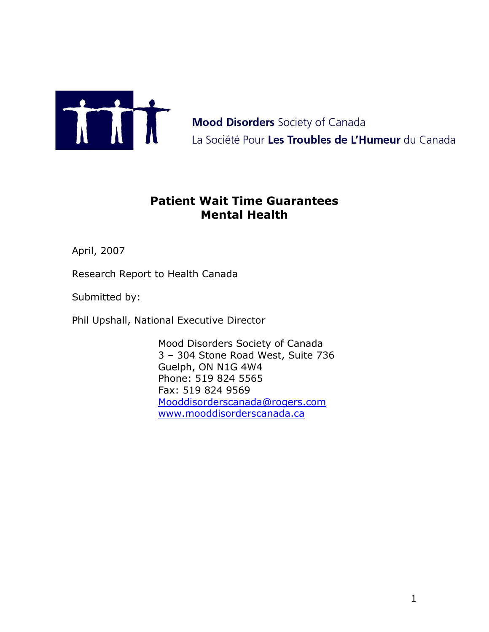

**Mood Disorders** Society of Canada La Société Pour Les Troubles de L'Humeur du Canada

# **Patient Wait Time Guarantees Mental Health**

April, 2007

Research Report to Health Canada

Submitted by:

Phil Upshall, National Executive Director

Mood Disorders Society of Canada 3 – 304 Stone Road West, Suite 736 Guelph, ON N1G 4W4 Phone: 519 824 5565 Fax: 519 824 9569 [Mooddisorderscanada@rogers.com](mailto:Mooddisorderscanada@rogers.com) [www.mooddisorderscanada.ca](mailto:Mooddisorderscanada@rogers.com)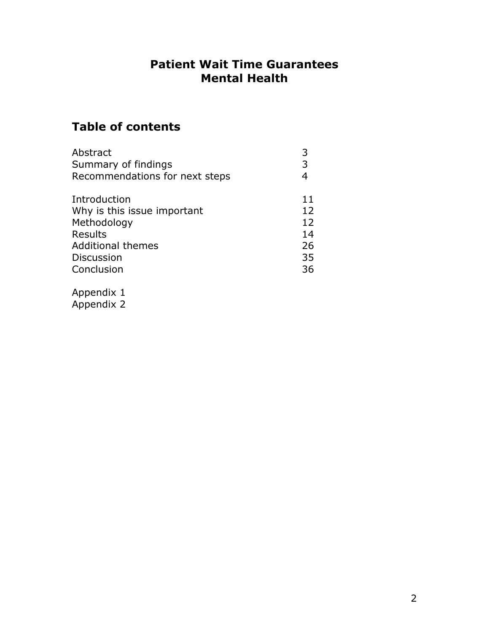## **Patient Wait Time Guarantees Mental Health**

# **Table of contents**

| Abstract                       |    |
|--------------------------------|----|
| Summary of findings            | 3  |
| Recommendations for next steps |    |
| Introduction                   | 11 |
| Why is this issue important    | 12 |
| Methodology                    | 12 |
| <b>Results</b>                 | 14 |
| <b>Additional themes</b>       | 26 |
| <b>Discussion</b>              | 35 |
| Conclusion                     | 36 |
|                                |    |

Appendix 1 Appendix 2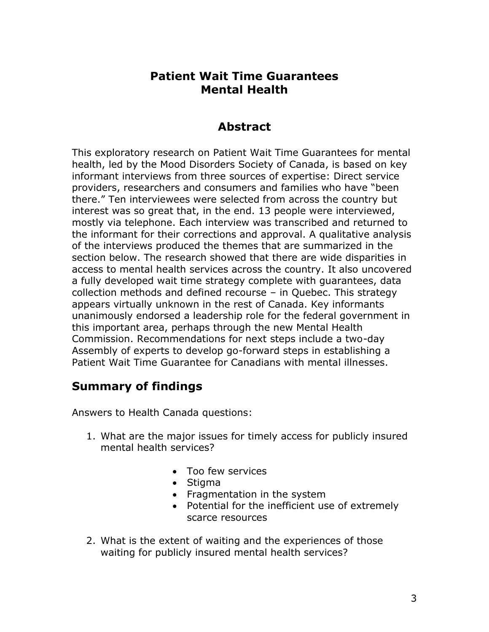## **Patient Wait Time Guarantees Mental Health**

## **Abstract**

This exploratory research on Patient Wait Time Guarantees for mental health, led by the Mood Disorders Society of Canada, is based on key informant interviews from three sources of expertise: Direct service providers, researchers and consumers and families who have "been there." Ten interviewees were selected from across the country but interest was so great that, in the end. 13 people were interviewed, mostly via telephone. Each interview was transcribed and returned to the informant for their corrections and approval. A qualitative analysis of the interviews produced the themes that are summarized in the section below. The research showed that there are wide disparities in access to mental health services across the country. It also uncovered a fully developed wait time strategy complete with guarantees, data collection methods and defined recourse – in Quebec. This strategy appears virtually unknown in the rest of Canada. Key informants unanimously endorsed a leadership role for the federal government in this important area, perhaps through the new Mental Health Commission. Recommendations for next steps include a two-day Assembly of experts to develop go-forward steps in establishing a Patient Wait Time Guarantee for Canadians with mental illnesses.

## **Summary of findings**

Answers to Health Canada questions:

- 1. What are the major issues for timely access for publicly insured mental health services?
	- Too few services
	- Stigma
	- Fragmentation in the system
	- Potential for the inefficient use of extremely scarce resources
- 2. What is the extent of waiting and the experiences of those waiting for publicly insured mental health services?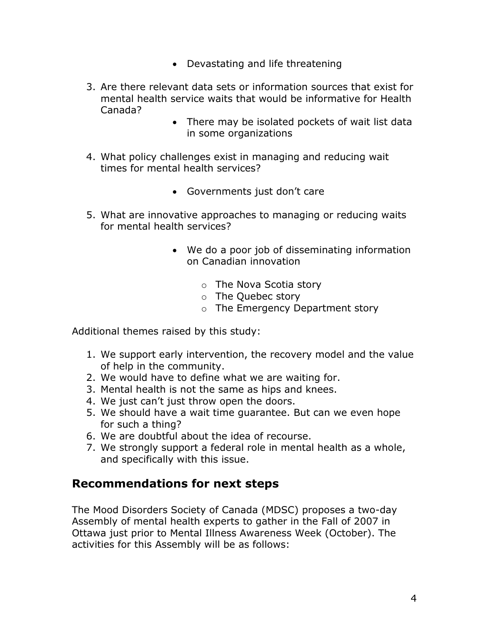- Devastating and life threatening
- 3. Are there relevant data sets or information sources that exist for mental health service waits that would be informative for Health Canada?
	- There may be isolated pockets of wait list data in some organizations
- 4. What policy challenges exist in managing and reducing wait times for mental health services?
	- Governments just don't care
- 5. What are innovative approaches to managing or reducing waits for mental health services?
	- We do a poor job of disseminating information on Canadian innovation
		- o The Nova Scotia story
		- o The Quebec story
		- o The Emergency Department story

Additional themes raised by this study:

- 1. We support early intervention, the recovery model and the value of help in the community.
- 2. We would have to define what we are waiting for.
- 3. Mental health is not the same as hips and knees.
- 4. We just can"t just throw open the doors.
- 5. We should have a wait time guarantee. But can we even hope for such a thing?
- 6. We are doubtful about the idea of recourse.
- 7. We strongly support a federal role in mental health as a whole, and specifically with this issue.

## **Recommendations for next steps**

The Mood Disorders Society of Canada (MDSC) proposes a two-day Assembly of mental health experts to gather in the Fall of 2007 in Ottawa just prior to Mental Illness Awareness Week (October). The activities for this Assembly will be as follows: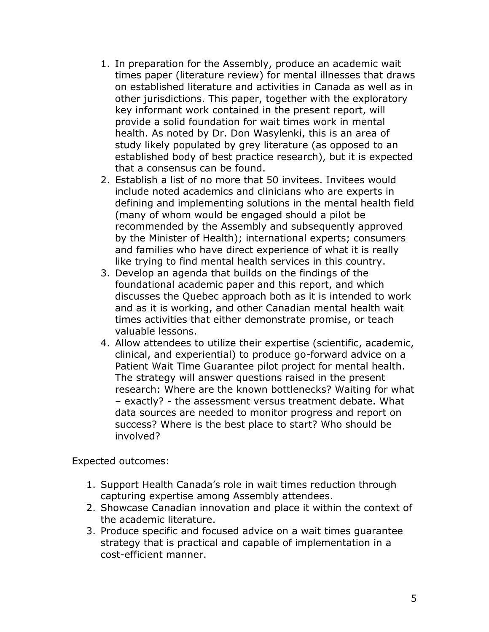- 1. In preparation for the Assembly, produce an academic wait times paper (literature review) for mental illnesses that draws on established literature and activities in Canada as well as in other jurisdictions. This paper, together with the exploratory key informant work contained in the present report, will provide a solid foundation for wait times work in mental health. As noted by Dr. Don Wasylenki, this is an area of study likely populated by grey literature (as opposed to an established body of best practice research), but it is expected that a consensus can be found.
- 2. Establish a list of no more that 50 invitees. Invitees would include noted academics and clinicians who are experts in defining and implementing solutions in the mental health field (many of whom would be engaged should a pilot be recommended by the Assembly and subsequently approved by the Minister of Health); international experts; consumers and families who have direct experience of what it is really like trying to find mental health services in this country.
- 3. Develop an agenda that builds on the findings of the foundational academic paper and this report, and which discusses the Quebec approach both as it is intended to work and as it is working, and other Canadian mental health wait times activities that either demonstrate promise, or teach valuable lessons.
- 4. Allow attendees to utilize their expertise (scientific, academic, clinical, and experiential) to produce go-forward advice on a Patient Wait Time Guarantee pilot project for mental health. The strategy will answer questions raised in the present research: Where are the known bottlenecks? Waiting for what – exactly? - the assessment versus treatment debate. What data sources are needed to monitor progress and report on success? Where is the best place to start? Who should be involved?

Expected outcomes:

- 1. Support Health Canada"s role in wait times reduction through capturing expertise among Assembly attendees.
- 2. Showcase Canadian innovation and place it within the context of the academic literature.
- 3. Produce specific and focused advice on a wait times guarantee strategy that is practical and capable of implementation in a cost-efficient manner.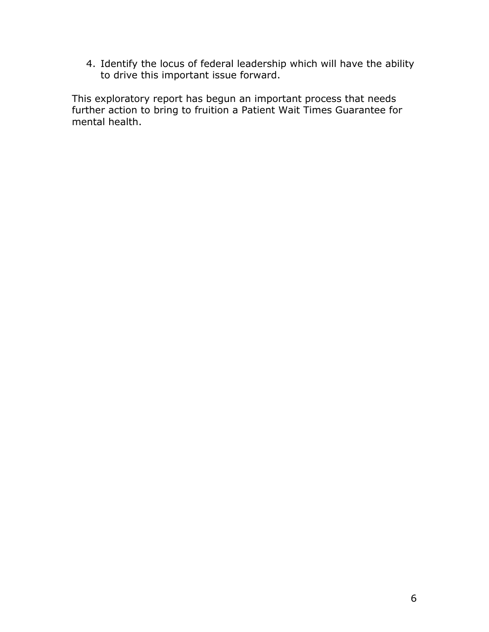4. Identify the locus of federal leadership which will have the ability to drive this important issue forward.

This exploratory report has begun an important process that needs further action to bring to fruition a Patient Wait Times Guarantee for mental health.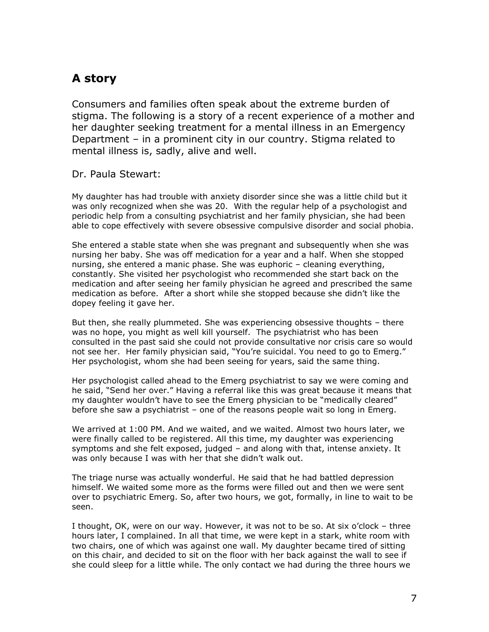# **A story**

Consumers and families often speak about the extreme burden of stigma. The following is a story of a recent experience of a mother and her daughter seeking treatment for a mental illness in an Emergency Department – in a prominent city in our country. Stigma related to mental illness is, sadly, alive and well.

### Dr. Paula Stewart:

My daughter has had trouble with anxiety disorder since she was a little child but it was only recognized when she was 20. With the regular help of a psychologist and periodic help from a consulting psychiatrist and her family physician, she had been able to cope effectively with severe obsessive compulsive disorder and social phobia.

She entered a stable state when she was pregnant and subsequently when she was nursing her baby. She was off medication for a year and a half. When she stopped nursing, she entered a manic phase. She was euphoric – cleaning everything, constantly. She visited her psychologist who recommended she start back on the medication and after seeing her family physician he agreed and prescribed the same medication as before. After a short while she stopped because she didn"t like the dopey feeling it gave her.

But then, she really plummeted. She was experiencing obsessive thoughts – there was no hope, you might as well kill yourself. The psychiatrist who has been consulted in the past said she could not provide consultative nor crisis care so would not see her. Her family physician said, "You"re suicidal. You need to go to Emerg." Her psychologist, whom she had been seeing for years, said the same thing.

Her psychologist called ahead to the Emerg psychiatrist to say we were coming and he said, "Send her over." Having a referral like this was great because it means that my daughter wouldn"t have to see the Emerg physician to be "medically cleared" before she saw a psychiatrist – one of the reasons people wait so long in Emerg.

We arrived at 1:00 PM. And we waited, and we waited. Almost two hours later, we were finally called to be registered. All this time, my daughter was experiencing symptoms and she felt exposed, judged – and along with that, intense anxiety. It was only because I was with her that she didn"t walk out.

The triage nurse was actually wonderful. He said that he had battled depression himself. We waited some more as the forms were filled out and then we were sent over to psychiatric Emerg. So, after two hours, we got, formally, in line to wait to be seen.

I thought, OK, were on our way. However, it was not to be so. At six o"clock – three hours later, I complained. In all that time, we were kept in a stark, white room with two chairs, one of which was against one wall. My daughter became tired of sitting on this chair, and decided to sit on the floor with her back against the wall to see if she could sleep for a little while. The only contact we had during the three hours we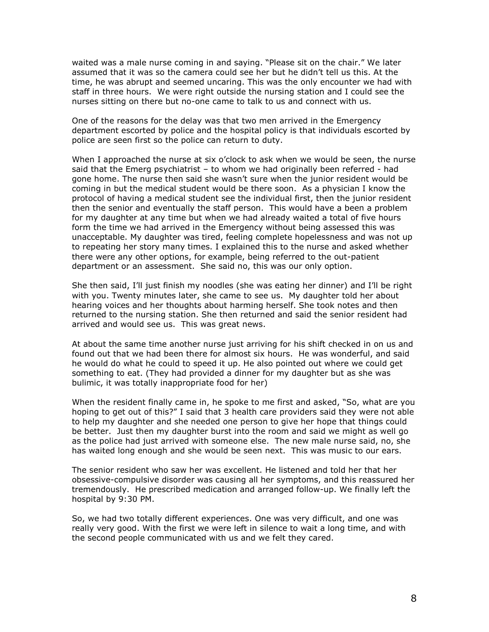waited was a male nurse coming in and saying. "Please sit on the chair." We later assumed that it was so the camera could see her but he didn"t tell us this. At the time, he was abrupt and seemed uncaring. This was the only encounter we had with staff in three hours. We were right outside the nursing station and I could see the nurses sitting on there but no-one came to talk to us and connect with us.

One of the reasons for the delay was that two men arrived in the Emergency department escorted by police and the hospital policy is that individuals escorted by police are seen first so the police can return to duty.

When I approached the nurse at six o"clock to ask when we would be seen, the nurse said that the Emerg psychiatrist – to whom we had originally been referred - had gone home. The nurse then said she wasn"t sure when the junior resident would be coming in but the medical student would be there soon. As a physician I know the protocol of having a medical student see the individual first, then the junior resident then the senior and eventually the staff person. This would have a been a problem for my daughter at any time but when we had already waited a total of five hours form the time we had arrived in the Emergency without being assessed this was unacceptable. My daughter was tired, feeling complete hopelessness and was not up to repeating her story many times. I explained this to the nurse and asked whether there were any other options, for example, being referred to the out-patient department or an assessment. She said no, this was our only option.

She then said, I"ll just finish my noodles (she was eating her dinner) and I"ll be right with you. Twenty minutes later, she came to see us. My daughter told her about hearing voices and her thoughts about harming herself. She took notes and then returned to the nursing station. She then returned and said the senior resident had arrived and would see us. This was great news.

At about the same time another nurse just arriving for his shift checked in on us and found out that we had been there for almost six hours. He was wonderful, and said he would do what he could to speed it up. He also pointed out where we could get something to eat. (They had provided a dinner for my daughter but as she was bulimic, it was totally inappropriate food for her)

When the resident finally came in, he spoke to me first and asked, "So, what are you hoping to get out of this?" I said that 3 health care providers said they were not able to help my daughter and she needed one person to give her hope that things could be better. Just then my daughter burst into the room and said we might as well go as the police had just arrived with someone else. The new male nurse said, no, she has waited long enough and she would be seen next. This was music to our ears.

The senior resident who saw her was excellent. He listened and told her that her obsessive-compulsive disorder was causing all her symptoms, and this reassured her tremendously. He prescribed medication and arranged follow-up. We finally left the hospital by 9:30 PM.

So, we had two totally different experiences. One was very difficult, and one was really very good. With the first we were left in silence to wait a long time, and with the second people communicated with us and we felt they cared.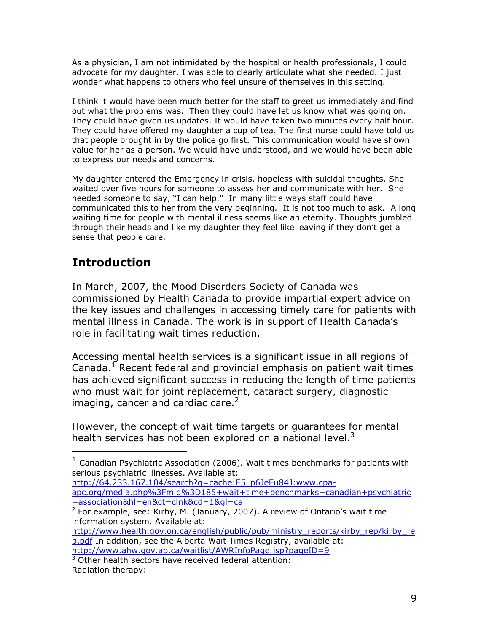As a physician, I am not intimidated by the hospital or health professionals, I could advocate for my daughter. I was able to clearly articulate what she needed. I just wonder what happens to others who feel unsure of themselves in this setting.

I think it would have been much better for the staff to greet us immediately and find out what the problems was. Then they could have let us know what was going on. They could have given us updates. It would have taken two minutes every half hour. They could have offered my daughter a cup of tea. The first nurse could have told us that people brought in by the police go first. This communication would have shown value for her as a person. We would have understood, and we would have been able to express our needs and concerns.

My daughter entered the Emergency in crisis, hopeless with suicidal thoughts. She waited over five hours for someone to assess her and communicate with her. She needed someone to say, "I can help." In many little ways staff could have communicated this to her from the very beginning. It is not too much to ask. A long waiting time for people with mental illness seems like an eternity. Thoughts jumbled through their heads and like my daughter they feel like leaving if they don"t get a sense that people care.

# **Introduction**

In March, 2007, the Mood Disorders Society of Canada was commissioned by Health Canada to provide impartial expert advice on the key issues and challenges in accessing timely care for patients with mental illness in Canada. The work is in support of Health Canada"s role in facilitating wait times reduction.

Accessing mental health services is a significant issue in all regions of Canada.<sup>1</sup> Recent federal and provincial emphasis on patient wait times has achieved significant success in reducing the length of time patients who must wait for joint replacement, cataract surgery, diagnostic imaging, cancer and cardiac care. $2<sup>2</sup>$ 

However, the concept of wait time targets or guarantees for mental health services has not been explored on a national level. $3$ 

[http://64.233.167.104/search?q=cache:E5Lp6JeEu84J:www.cpa-](http://64.233.167.104/search?q=cache:E5Lp6JeEu84J:www.cpa-apc.org/media.php%3Fmid%3D185+wait+time+benchmarks+canadian+psychiatric+association&hl=en&ct=clnk&cd=1&gl=ca)

[apc.org/media.php%3Fmid%3D185+wait+time+benchmarks+canadian+psychiatric](http://64.233.167.104/search?q=cache:E5Lp6JeEu84J:www.cpa-apc.org/media.php%3Fmid%3D185+wait+time+benchmarks+canadian+psychiatric+association&hl=en&ct=clnk&cd=1&gl=ca) [+association&hl=en&ct=clnk&cd=1&gl=ca](http://64.233.167.104/search?q=cache:E5Lp6JeEu84J:www.cpa-apc.org/media.php%3Fmid%3D185+wait+time+benchmarks+canadian+psychiatric+association&hl=en&ct=clnk&cd=1&gl=ca)

 $2$  For example, see: Kirby, M. (January, 2007). A review of Ontario's wait time information system. Available at:

[http://www.health.gov.on.ca/english/public/pub/ministry\\_reports/kirby\\_rep/kirby\\_re](http://www.health.gov.on.ca/english/public/pub/ministry_reports/kirby_rep/kirby_rep.pdf) [p.pdf](http://www.health.gov.on.ca/english/public/pub/ministry_reports/kirby_rep/kirby_rep.pdf) In addition, see the Alberta Wait Times Registry, available at:

Radiation therapy:

 $\overline{a}$ 

 $<sup>1</sup>$  Canadian Psychiatric Association (2006). Wait times benchmarks for patients with</sup> serious psychiatric illnesses. Available at:

<http://www.ahw.gov.ab.ca/waitlist/AWRInfoPage.jsp?pageID=9>  $3$  Other health sectors have received federal attention: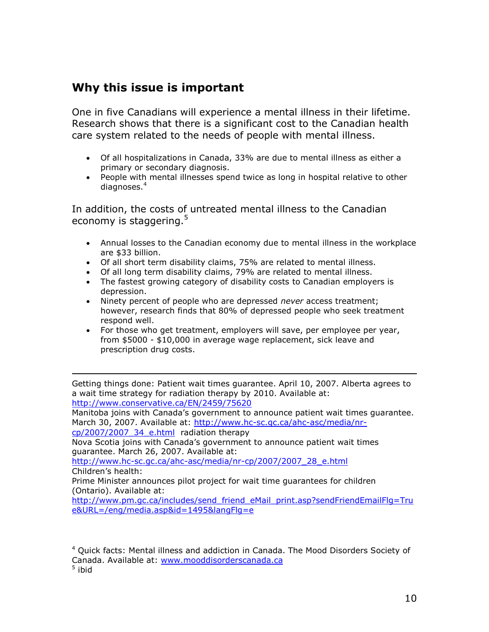## **Why this issue is important**

One in five Canadians will experience a mental illness in their lifetime. Research shows that there is a significant cost to the Canadian health care system related to the needs of people with mental illness.

- Of all hospitalizations in Canada, 33% are due to mental illness as either a primary or secondary diagnosis.
- People with mental illnesses spend twice as long in hospital relative to other diagnoses.<sup>4</sup>

In addition, the costs of untreated mental illness to the Canadian economy is staggering.<sup>5</sup>

- Annual losses to the Canadian economy due to mental illness in the workplace are \$33 billion.
- Of all short term disability claims, 75% are related to mental illness.
- Of all long term disability claims, 79% are related to mental illness.
- The fastest growing category of disability costs to Canadian employers is depression.
- Ninety percent of people who are depressed *never* access treatment; however, research finds that 80% of depressed people who seek treatment respond well.
- For those who get treatment, employers will save, per employee per year, from \$5000 - \$10,000 in average wage replacement, sick leave and prescription drug costs.

Getting things done: Patient wait times guarantee. April 10, 2007. Alberta agrees to a wait time strategy for radiation therapy by 2010. Available at: <http://www.conservative.ca/EN/2459/75620>

Manitoba joins with Canada"s government to announce patient wait times guarantee. March 30, 2007. Available at: [http://www.hc-sc.gc.ca/ahc-asc/media/nr-](http://www.hc-sc.gc.ca/ahc-asc/media/nr-cp/2007/2007_34_e.html)

[cp/2007/2007\\_34\\_e.html](http://www.hc-sc.gc.ca/ahc-asc/media/nr-cp/2007/2007_34_e.html) radiation therapy

 $\overline{a}$ 

Nova Scotia joins with Canada"s government to announce patient wait times guarantee. March 26, 2007. Available at:

[http://www.hc-sc.gc.ca/ahc-asc/media/nr-cp/2007/2007\\_28\\_e.html](http://www.hc-sc.gc.ca/ahc-asc/media/nr-cp/2007/2007_28_e.html) Children's health:

Prime Minister announces pilot project for wait time guarantees for children (Ontario). Available at:

[http://www.pm.gc.ca/includes/send\\_friend\\_eMail\\_print.asp?sendFriendEmailFlg=Tru](http://www.pm.gc.ca/includes/send_friend_eMail_print.asp?sendFriendEmailFlg=True&URL=/eng/media.asp&id=1495&langFlg=e) [e&URL=/eng/media.asp&id=1495&langFlg=e](http://www.pm.gc.ca/includes/send_friend_eMail_print.asp?sendFriendEmailFlg=True&URL=/eng/media.asp&id=1495&langFlg=e)

 $4$  Quick facts: Mental illness and addiction in Canada. The Mood Disorders Society of Canada. Available at: <u>www.mooddisorderscanada.ca</u><br><sup>5</sup> ibid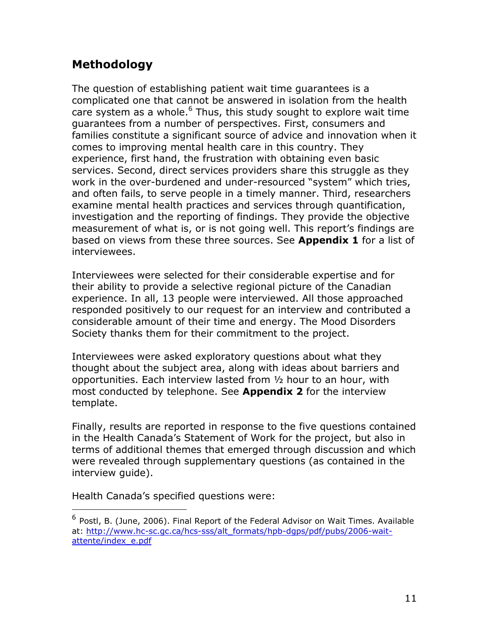# **Methodology**

The question of establishing patient wait time guarantees is a complicated one that cannot be answered in isolation from the health care system as a whole. $6$  Thus, this study sought to explore wait time guarantees from a number of perspectives. First, consumers and families constitute a significant source of advice and innovation when it comes to improving mental health care in this country. They experience, first hand, the frustration with obtaining even basic services. Second, direct services providers share this struggle as they work in the over-burdened and under-resourced "system" which tries, and often fails, to serve people in a timely manner. Third, researchers examine mental health practices and services through quantification, investigation and the reporting of findings. They provide the objective measurement of what is, or is not going well. This report's findings are based on views from these three sources. See **Appendix 1** for a list of interviewees.

Interviewees were selected for their considerable expertise and for their ability to provide a selective regional picture of the Canadian experience. In all, 13 people were interviewed. All those approached responded positively to our request for an interview and contributed a considerable amount of their time and energy. The Mood Disorders Society thanks them for their commitment to the project.

Interviewees were asked exploratory questions about what they thought about the subject area, along with ideas about barriers and opportunities. Each interview lasted from ½ hour to an hour, with most conducted by telephone. See **Appendix 2** for the interview template.

Finally, results are reported in response to the five questions contained in the Health Canada"s Statement of Work for the project, but also in terms of additional themes that emerged through discussion and which were revealed through supplementary questions (as contained in the interview guide).

Health Canada"s specified questions were:

 $\overline{a}$ 

<sup>&</sup>lt;sup>6</sup> Postl, B. (June, 2006). Final Report of the Federal Advisor on Wait Times. Available at: [http://www.hc-sc.gc.ca/hcs-sss/alt\\_formats/hpb-dgps/pdf/pubs/2006-wait](http://www.hc-sc.gc.ca/hcs-sss/alt_formats/hpb-dgps/pdf/pubs/2006-wait-attente/index_e.pdf)[attente/index\\_e.pdf](http://www.hc-sc.gc.ca/hcs-sss/alt_formats/hpb-dgps/pdf/pubs/2006-wait-attente/index_e.pdf)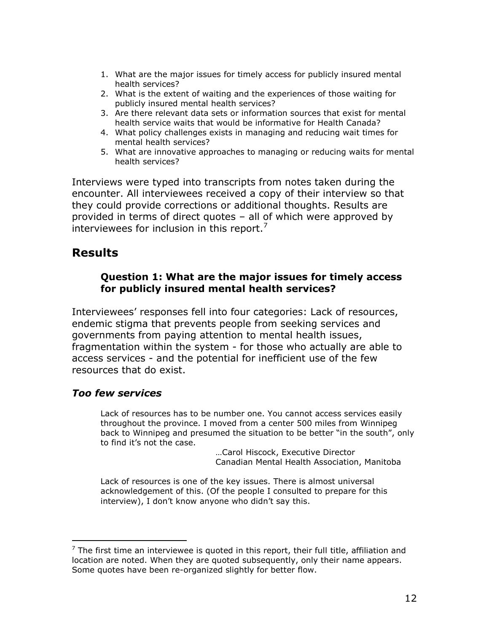- 1. What are the major issues for timely access for publicly insured mental health services?
- 2. What is the extent of waiting and the experiences of those waiting for publicly insured mental health services?
- 3. Are there relevant data sets or information sources that exist for mental health service waits that would be informative for Health Canada?
- 4. What policy challenges exists in managing and reducing wait times for mental health services?
- 5. What are innovative approaches to managing or reducing waits for mental health services?

Interviews were typed into transcripts from notes taken during the encounter. All interviewees received a copy of their interview so that they could provide corrections or additional thoughts. Results are provided in terms of direct quotes – all of which were approved by interviewees for inclusion in this report. $'$ 

## **Results**

## **Question 1: What are the major issues for timely access for publicly insured mental health services?**

Interviewees' responses fell into four categories: Lack of resources, endemic stigma that prevents people from seeking services and governments from paying attention to mental health issues, fragmentation within the system - for those who actually are able to access services - and the potential for inefficient use of the few resources that do exist.

## *Too few services*

 $\overline{a}$ 

Lack of resources has to be number one. You cannot access services easily throughout the province. I moved from a center 500 miles from Winnipeg back to Winnipeg and presumed the situation to be better "in the south", only to find it's not the case.

…Carol Hiscock, Executive Director Canadian Mental Health Association, Manitoba

Lack of resources is one of the key issues. There is almost universal acknowledgement of this. (Of the people I consulted to prepare for this interview), I don't know anyone who didn't say this.

 $<sup>7</sup>$  The first time an interviewee is quoted in this report, their full title, affiliation and</sup> location are noted. When they are quoted subsequently, only their name appears. Some quotes have been re-organized slightly for better flow.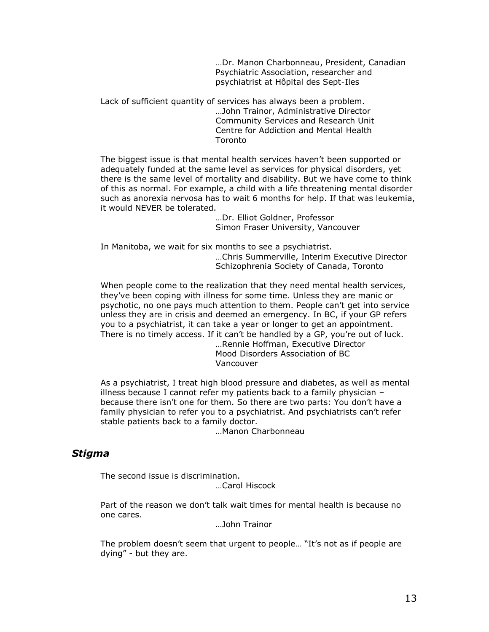…Dr. Manon Charbonneau, President, Canadian Psychiatric Association, researcher and psychiatrist at Hôpital des Sept-Iles

Lack of sufficient quantity of services has always been a problem. …John Trainor, Administrative Director Community Services and Research Unit Centre for Addiction and Mental Health **Toronto** 

The biggest issue is that mental health services haven"t been supported or adequately funded at the same level as services for physical disorders, yet there is the same level of mortality and disability. But we have come to think of this as normal. For example, a child with a life threatening mental disorder such as anorexia nervosa has to wait 6 months for help. If that was leukemia, it would NEVER be tolerated.

> …Dr. Elliot Goldner, Professor Simon Fraser University, Vancouver

In Manitoba, we wait for six months to see a psychiatrist. …Chris Summerville, Interim Executive Director Schizophrenia Society of Canada, Toronto

When people come to the realization that they need mental health services, they"ve been coping with illness for some time. Unless they are manic or psychotic, no one pays much attention to them. People can"t get into service unless they are in crisis and deemed an emergency. In BC, if your GP refers you to a psychiatrist, it can take a year or longer to get an appointment. There is no timely access. If it can"t be handled by a GP, you"re out of luck. …Rennie Hoffman, Executive Director

Mood Disorders Association of BC Vancouver

As a psychiatrist, I treat high blood pressure and diabetes, as well as mental illness because I cannot refer my patients back to a family physician – because there isn"t one for them. So there are two parts: You don"t have a family physician to refer you to a psychiatrist. And psychiatrists can't refer stable patients back to a family doctor.

…Manon Charbonneau

### *Stigma*

The second issue is discrimination.

…Carol Hiscock

Part of the reason we don't talk wait times for mental health is because no one cares.

…John Trainor

The problem doesn't seem that urgent to people... "It's not as if people are dying" - but they are.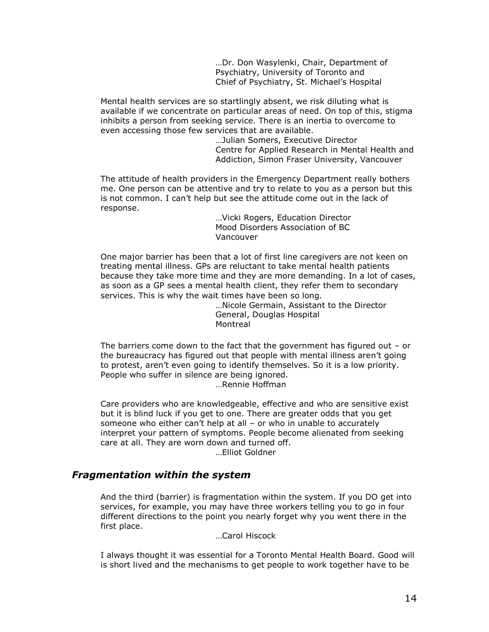…Dr. Don Wasylenki, Chair, Department of Psychiatry, University of Toronto and Chief of Psychiatry, St. Michael"s Hospital

Mental health services are so startlingly absent, we risk diluting what is available if we concentrate on particular areas of need. On top of this, stigma inhibits a person from seeking service. There is an inertia to overcome to even accessing those few services that are available.

…Julian Somers, Executive Director Centre for Applied Research in Mental Health and Addiction, Simon Fraser University, Vancouver

The attitude of health providers in the Emergency Department really bothers me. One person can be attentive and try to relate to you as a person but this is not common. I can"t help but see the attitude come out in the lack of response.

> …Vicki Rogers, Education Director Mood Disorders Association of BC Vancouver

One major barrier has been that a lot of first line caregivers are not keen on treating mental illness. GPs are reluctant to take mental health patients because they take more time and they are more demanding. In a lot of cases, as soon as a GP sees a mental health client, they refer them to secondary services. This is why the wait times have been so long.

> …Nicole Germain, Assistant to the Director General, Douglas Hospital Montreal

The barriers come down to the fact that the government has figured out – or the bureaucracy has figured out that people with mental illness aren"t going to protest, aren"t even going to identify themselves. So it is a low priority. People who suffer in silence are being janored.

…Rennie Hoffman

Care providers who are knowledgeable, effective and who are sensitive exist but it is blind luck if you get to one. There are greater odds that you get someone who either can"t help at all – or who in unable to accurately interpret your pattern of symptoms. People become alienated from seeking care at all. They are worn down and turned off. …Elliot Goldner

### *Fragmentation within the system*

And the third (barrier) is fragmentation within the system. If you DO get into services, for example, you may have three workers telling you to go in four different directions to the point you nearly forget why you went there in the first place.

…Carol Hiscock

I always thought it was essential for a Toronto Mental Health Board. Good will is short lived and the mechanisms to get people to work together have to be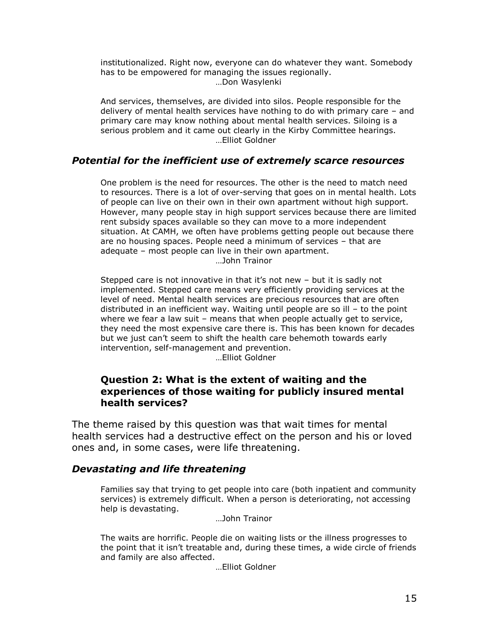institutionalized. Right now, everyone can do whatever they want. Somebody has to be empowered for managing the issues regionally. …Don Wasylenki

And services, themselves, are divided into silos. People responsible for the delivery of mental health services have nothing to do with primary care – and primary care may know nothing about mental health services. Siloing is a serious problem and it came out clearly in the Kirby Committee hearings. …Elliot Goldner

### *Potential for the inefficient use of extremely scarce resources*

One problem is the need for resources. The other is the need to match need to resources. There is a lot of over-serving that goes on in mental health. Lots of people can live on their own in their own apartment without high support. However, many people stay in high support services because there are limited rent subsidy spaces available so they can move to a more independent situation. At CAMH, we often have problems getting people out because there are no housing spaces. People need a minimum of services – that are adequate – most people can live in their own apartment. …John Trainor

Stepped care is not innovative in that it's not new  $-$  but it is sadly not implemented. Stepped care means very efficiently providing services at the level of need. Mental health services are precious resources that are often distributed in an inefficient way. Waiting until people are so ill – to the point where we fear a law suit – means that when people actually get to service, they need the most expensive care there is. This has been known for decades but we just can't seem to shift the health care behemoth towards early intervention, self-management and prevention.

…Elliot Goldner

## **Question 2: What is the extent of waiting and the experiences of those waiting for publicly insured mental health services?**

The theme raised by this question was that wait times for mental health services had a destructive effect on the person and his or loved ones and, in some cases, were life threatening.

### *Devastating and life threatening*

Families say that trying to get people into care (both inpatient and community services) is extremely difficult. When a person is deteriorating, not accessing help is devastating.

…John Trainor

The waits are horrific. People die on waiting lists or the illness progresses to the point that it isn"t treatable and, during these times, a wide circle of friends and family are also affected.

…Elliot Goldner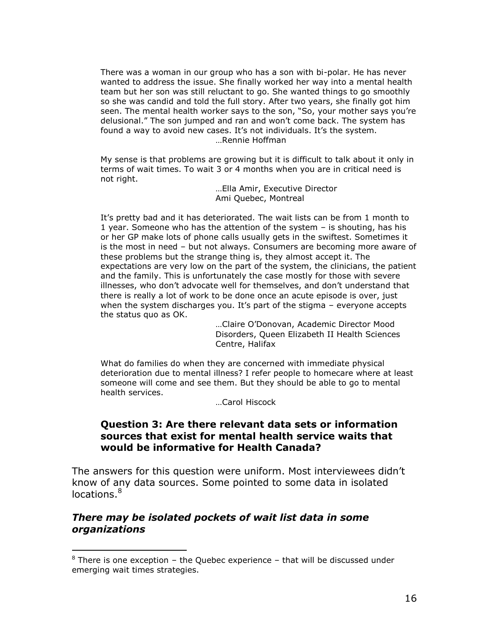There was a woman in our group who has a son with bi-polar. He has never wanted to address the issue. She finally worked her way into a mental health team but her son was still reluctant to go. She wanted things to go smoothly so she was candid and told the full story. After two years, she finally got him seen. The mental health worker says to the son, "So, your mother says you"re delusional." The son jumped and ran and won"t come back. The system has found a way to avoid new cases. It's not individuals. It's the system. …Rennie Hoffman

My sense is that problems are growing but it is difficult to talk about it only in terms of wait times. To wait 3 or 4 months when you are in critical need is not right.

> …Ella Amir, Executive Director Ami Quebec, Montreal

It"s pretty bad and it has deteriorated. The wait lists can be from 1 month to 1 year. Someone who has the attention of the system – is shouting, has his or her GP make lots of phone calls usually gets in the swiftest. Sometimes it is the most in need – but not always. Consumers are becoming more aware of these problems but the strange thing is, they almost accept it. The expectations are very low on the part of the system, the clinicians, the patient and the family. This is unfortunately the case mostly for those with severe illnesses, who don"t advocate well for themselves, and don"t understand that there is really a lot of work to be done once an acute episode is over, just when the system discharges you. It's part of the stigma  $-$  everyone accepts the status quo as OK.

…Claire O"Donovan, Academic Director Mood Disorders, Queen Elizabeth II Health Sciences Centre, Halifax

What do families do when they are concerned with immediate physical deterioration due to mental illness? I refer people to homecare where at least someone will come and see them. But they should be able to go to mental health services.

…Carol Hiscock

## **Question 3: Are there relevant data sets or information sources that exist for mental health service waits that would be informative for Health Canada?**

The answers for this question were uniform. Most interviewees didn"t know of any data sources. Some pointed to some data in isolated locations.<sup>8</sup>

## *There may be isolated pockets of wait list data in some organizations*

 $\overline{a}$ 

 $8$  There is one exception – the Quebec experience – that will be discussed under emerging wait times strategies.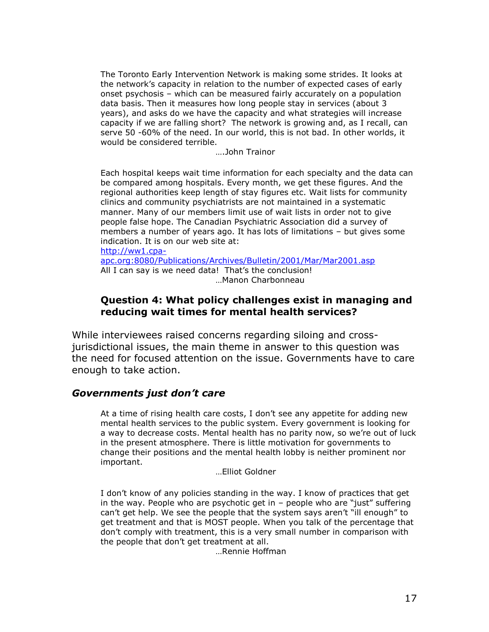The Toronto Early Intervention Network is making some strides. It looks at the network"s capacity in relation to the number of expected cases of early onset psychosis – which can be measured fairly accurately on a population data basis. Then it measures how long people stay in services (about 3 years), and asks do we have the capacity and what strategies will increase capacity if we are falling short? The network is growing and, as I recall, can serve 50 -60% of the need. In our world, this is not bad. In other worlds, it would be considered terrible.

….John Trainor

Each hospital keeps wait time information for each specialty and the data can be compared among hospitals. Every month, we get these figures. And the regional authorities keep length of stay figures etc. Wait lists for community clinics and community psychiatrists are not maintained in a systematic manner. Many of our members limit use of wait lists in order not to give people false hope. The Canadian Psychiatric Association did a survey of members a number of years ago. It has lots of limitations – but gives some indication. It is on our web site at: [http://ww1.cpa-](http://ww1.cpa-apc.org:8080/Publications/Archives/Bulletin/2001/Mar/Mar2001.asp)

[apc.org:8080/Publications/Archives/Bulletin/2001/Mar/Mar2001.asp](http://ww1.cpa-apc.org:8080/Publications/Archives/Bulletin/2001/Mar/Mar2001.asp) All I can say is we need data! That's the conclusion! …Manon Charbonneau

## **Question 4: What policy challenges exist in managing and reducing wait times for mental health services?**

While interviewees raised concerns regarding siloing and crossjurisdictional issues, the main theme in answer to this question was the need for focused attention on the issue. Governments have to care enough to take action.

## *Governments just don't care*

At a time of rising health care costs, I don"t see any appetite for adding new mental health services to the public system. Every government is looking for a way to decrease costs. Mental health has no parity now, so we"re out of luck in the present atmosphere. There is little motivation for governments to change their positions and the mental health lobby is neither prominent nor important.

…Elliot Goldner

I don't know of any policies standing in the way. I know of practices that get in the way. People who are psychotic get in – people who are "just" suffering can't get help. We see the people that the system says aren't "ill enough" to get treatment and that is MOST people. When you talk of the percentage that don"t comply with treatment, this is a very small number in comparison with the people that don"t get treatment at all.

…Rennie Hoffman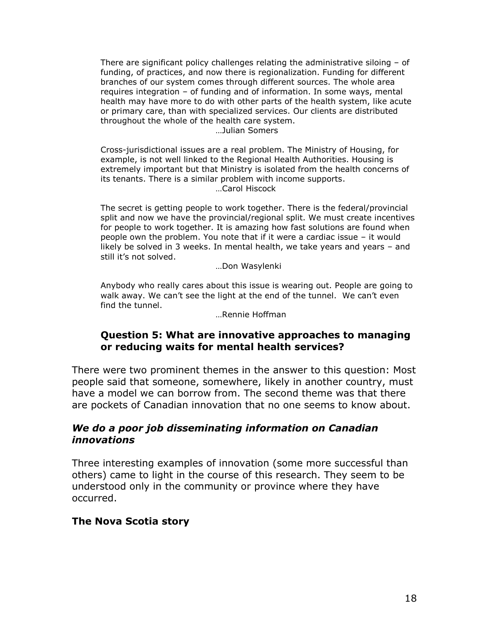There are significant policy challenges relating the administrative siloing – of funding, of practices, and now there is regionalization. Funding for different branches of our system comes through different sources. The whole area requires integration – of funding and of information. In some ways, mental health may have more to do with other parts of the health system, like acute or primary care, than with specialized services. Our clients are distributed throughout the whole of the health care system.

…Julian Somers

Cross-jurisdictional issues are a real problem. The Ministry of Housing, for example, is not well linked to the Regional Health Authorities. Housing is extremely important but that Ministry is isolated from the health concerns of its tenants. There is a similar problem with income supports. …Carol Hiscock

The secret is getting people to work together. There is the federal/provincial split and now we have the provincial/regional split. We must create incentives for people to work together. It is amazing how fast solutions are found when people own the problem. You note that if it were a cardiac issue – it would likely be solved in 3 weeks. In mental health, we take years and years – and still it"s not solved.

…Don Wasylenki

Anybody who really cares about this issue is wearing out. People are going to walk away. We can't see the light at the end of the tunnel. We can't even find the tunnel.

…Rennie Hoffman

## **Question 5: What are innovative approaches to managing or reducing waits for mental health services?**

There were two prominent themes in the answer to this question: Most people said that someone, somewhere, likely in another country, must have a model we can borrow from. The second theme was that there are pockets of Canadian innovation that no one seems to know about.

## *We do a poor job disseminating information on Canadian innovations*

Three interesting examples of innovation (some more successful than others) came to light in the course of this research. They seem to be understood only in the community or province where they have occurred.

## **The Nova Scotia story**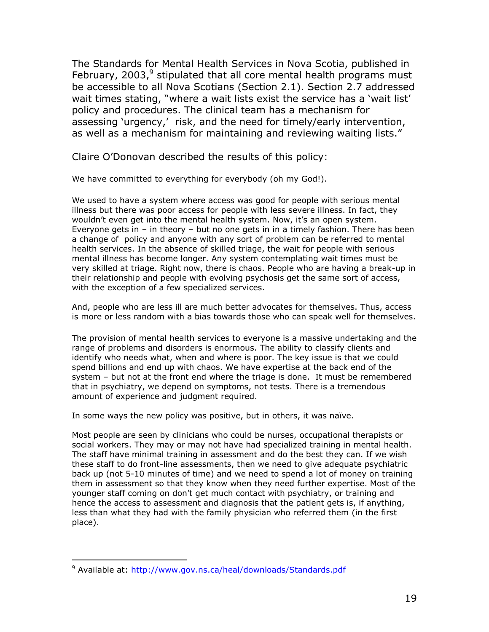The Standards for Mental Health Services in Nova Scotia, published in February, 2003, $^9$  stipulated that all core mental health programs must be accessible to all Nova Scotians (Section 2.1). Section 2.7 addressed wait times stating, "where a wait lists exist the service has a 'wait list' policy and procedures. The clinical team has a mechanism for assessing 'urgency,' risk, and the need for timely/early intervention, as well as a mechanism for maintaining and reviewing waiting lists."

Claire O"Donovan described the results of this policy:

We have committed to everything for everybody (oh my God!).

We used to have a system where access was good for people with serious mental illness but there was poor access for people with less severe illness. In fact, they wouldn't even get into the mental health system. Now, it's an open system. Everyone gets in  $-$  in theory  $-$  but no one gets in in a timely fashion. There has been a change of policy and anyone with any sort of problem can be referred to mental health services. In the absence of skilled triage, the wait for people with serious mental illness has become longer. Any system contemplating wait times must be very skilled at triage. Right now, there is chaos. People who are having a break-up in their relationship and people with evolving psychosis get the same sort of access, with the exception of a few specialized services.

And, people who are less ill are much better advocates for themselves. Thus, access is more or less random with a bias towards those who can speak well for themselves.

The provision of mental health services to everyone is a massive undertaking and the range of problems and disorders is enormous. The ability to classify clients and identify who needs what, when and where is poor. The key issue is that we could spend billions and end up with chaos. We have expertise at the back end of the system – but not at the front end where the triage is done. It must be remembered that in psychiatry, we depend on symptoms, not tests. There is a tremendous amount of experience and judgment required.

In some ways the new policy was positive, but in others, it was naïve.

Most people are seen by clinicians who could be nurses, occupational therapists or social workers. They may or may not have had specialized training in mental health. The staff have minimal training in assessment and do the best they can. If we wish these staff to do front-line assessments, then we need to give adequate psychiatric back up (not 5-10 minutes of time) and we need to spend a lot of money on training them in assessment so that they know when they need further expertise. Most of the younger staff coming on don"t get much contact with psychiatry, or training and hence the access to assessment and diagnosis that the patient gets is, if anything, less than what they had with the family physician who referred them (in the first place).

 $\overline{a}$ 

<sup>&</sup>lt;sup>9</sup> Available at:<http://www.gov.ns.ca/heal/downloads/Standards.pdf>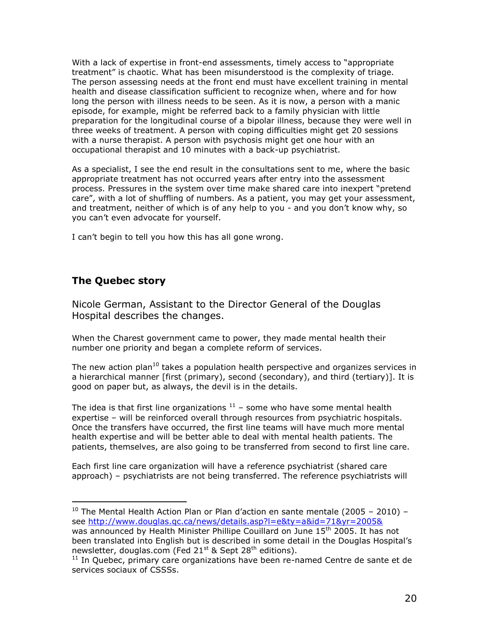With a lack of expertise in front-end assessments, timely access to "appropriate treatment" is chaotic. What has been misunderstood is the complexity of triage. The person assessing needs at the front end must have excellent training in mental health and disease classification sufficient to recognize when, where and for how long the person with illness needs to be seen. As it is now, a person with a manic episode, for example, might be referred back to a family physician with little preparation for the longitudinal course of a bipolar illness, because they were well in three weeks of treatment. A person with coping difficulties might get 20 sessions with a nurse therapist. A person with psychosis might get one hour with an occupational therapist and 10 minutes with a back-up psychiatrist.

As a specialist, I see the end result in the consultations sent to me, where the basic appropriate treatment has not occurred years after entry into the assessment process. Pressures in the system over time make shared care into inexpert "pretend care", with a lot of shuffling of numbers. As a patient, you may get your assessment, and treatment, neither of which is of any help to you - and you don"t know why, so you can"t even advocate for yourself.

I can't begin to tell you how this has all gone wrong.

## **The Quebec story**

 $\overline{a}$ 

Nicole German, Assistant to the Director General of the Douglas Hospital describes the changes.

When the Charest government came to power, they made mental health their number one priority and began a complete reform of services.

The new action plan<sup>10</sup> takes a population health perspective and organizes services in a hierarchical manner [first (primary), second (secondary), and third (tertiary)]. It is good on paper but, as always, the devil is in the details.

The idea is that first line organizations  $11$  – some who have some mental health expertise – will be reinforced overall through resources from psychiatric hospitals. Once the transfers have occurred, the first line teams will have much more mental health expertise and will be better able to deal with mental health patients. The patients, themselves, are also going to be transferred from second to first line care.

Each first line care organization will have a reference psychiatrist (shared care approach) – psychiatrists are not being transferred. The reference psychiatrists will

<sup>&</sup>lt;sup>10</sup> The Mental Health Action Plan or Plan d'action en sante mentale (2005 – 2010) – see<http://www.douglas.qc.ca/news/details.asp?l=e&ty=a&id=71&yr=2005&> was announced by Health Minister Phillipe Couillard on June 15<sup>th</sup> 2005. It has not been translated into English but is described in some detail in the Douglas Hospital"s newsletter, douglas.com (Fed  $21^{st}$  & Sept  $28^{th}$  editions).

 $11$  In Quebec, primary care organizations have been re-named Centre de sante et de services sociaux of CSSSs.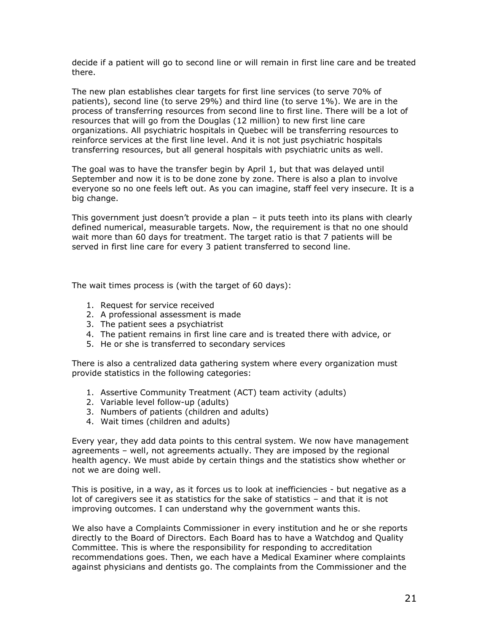decide if a patient will go to second line or will remain in first line care and be treated there.

The new plan establishes clear targets for first line services (to serve 70% of patients), second line (to serve 29%) and third line (to serve 1%). We are in the process of transferring resources from second line to first line. There will be a lot of resources that will go from the Douglas (12 million) to new first line care organizations. All psychiatric hospitals in Quebec will be transferring resources to reinforce services at the first line level. And it is not just psychiatric hospitals transferring resources, but all general hospitals with psychiatric units as well.

The goal was to have the transfer begin by April 1, but that was delayed until September and now it is to be done zone by zone. There is also a plan to involve everyone so no one feels left out. As you can imagine, staff feel very insecure. It is a big change.

This government just doesn't provide a plan  $-$  it puts teeth into its plans with clearly defined numerical, measurable targets. Now, the requirement is that no one should wait more than 60 days for treatment. The target ratio is that 7 patients will be served in first line care for every 3 patient transferred to second line.

The wait times process is (with the target of 60 days):

- 1. Request for service received
- 2. A professional assessment is made
- 3. The patient sees a psychiatrist
- 4. The patient remains in first line care and is treated there with advice, or
- 5. He or she is transferred to secondary services

There is also a centralized data gathering system where every organization must provide statistics in the following categories:

- 1. Assertive Community Treatment (ACT) team activity (adults)
- 2. Variable level follow-up (adults)
- 3. Numbers of patients (children and adults)
- 4. Wait times (children and adults)

Every year, they add data points to this central system. We now have management agreements – well, not agreements actually. They are imposed by the regional health agency. We must abide by certain things and the statistics show whether or not we are doing well.

This is positive, in a way, as it forces us to look at inefficiencies - but negative as a lot of caregivers see it as statistics for the sake of statistics – and that it is not improving outcomes. I can understand why the government wants this.

We also have a Complaints Commissioner in every institution and he or she reports directly to the Board of Directors. Each Board has to have a Watchdog and Quality Committee. This is where the responsibility for responding to accreditation recommendations goes. Then, we each have a Medical Examiner where complaints against physicians and dentists go. The complaints from the Commissioner and the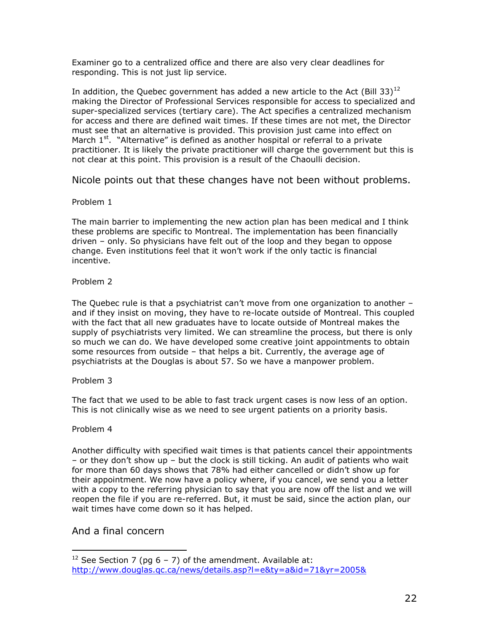Examiner go to a centralized office and there are also very clear deadlines for responding. This is not just lip service.

In addition, the Quebec government has added a new article to the Act (Bill 33)<sup>12</sup> making the Director of Professional Services responsible for access to specialized and super-specialized services (tertiary care). The Act specifies a centralized mechanism for access and there are defined wait times. If these times are not met, the Director must see that an alternative is provided. This provision just came into effect on March  $1<sup>st</sup>$ . "Alternative" is defined as another hospital or referral to a private practitioner. It is likely the private practitioner will charge the government but this is not clear at this point. This provision is a result of the Chaoulli decision.

Nicole points out that these changes have not been without problems.

#### Problem 1

The main barrier to implementing the new action plan has been medical and I think these problems are specific to Montreal. The implementation has been financially driven – only. So physicians have felt out of the loop and they began to oppose change. Even institutions feel that it won"t work if the only tactic is financial incentive.

#### Problem 2

The Quebec rule is that a psychiatrist can't move from one organization to another and if they insist on moving, they have to re-locate outside of Montreal. This coupled with the fact that all new graduates have to locate outside of Montreal makes the supply of psychiatrists very limited. We can streamline the process, but there is only so much we can do. We have developed some creative joint appointments to obtain some resources from outside – that helps a bit. Currently, the average age of psychiatrists at the Douglas is about 57. So we have a manpower problem.

#### Problem 3

The fact that we used to be able to fast track urgent cases is now less of an option. This is not clinically wise as we need to see urgent patients on a priority basis.

#### Problem 4

 $\overline{a}$ 

Another difficulty with specified wait times is that patients cancel their appointments – or they don"t show up – but the clock is still ticking. An audit of patients who wait for more than 60 days shows that 78% had either cancelled or didn"t show up for their appointment. We now have a policy where, if you cancel, we send you a letter with a copy to the referring physician to say that you are now off the list and we will reopen the file if you are re-referred. But, it must be said, since the action plan, our wait times have come down so it has helped.

### And a final concern

<sup>&</sup>lt;sup>12</sup> See Section 7 (pg  $6 - 7$ ) of the amendment. Available at: <http://www.douglas.qc.ca/news/details.asp?l=e&ty=a&id=71&yr=2005&>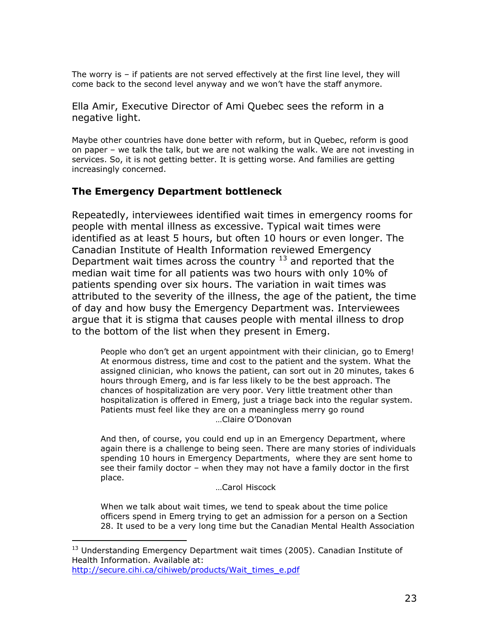The worry is – if patients are not served effectively at the first line level, they will come back to the second level anyway and we won"t have the staff anymore.

Ella Amir, Executive Director of Ami Quebec sees the reform in a negative light.

Maybe other countries have done better with reform, but in Quebec, reform is good on paper – we talk the talk, but we are not walking the walk. We are not investing in services. So, it is not getting better. It is getting worse. And families are getting increasingly concerned.

## **The Emergency Department bottleneck**

Repeatedly, interviewees identified wait times in emergency rooms for people with mental illness as excessive. Typical wait times were identified as at least 5 hours, but often 10 hours or even longer. The Canadian Institute of Health Information reviewed Emergency Department wait times across the country  $13$  and reported that the median wait time for all patients was two hours with only 10% of patients spending over six hours. The variation in wait times was attributed to the severity of the illness, the age of the patient, the time of day and how busy the Emergency Department was. Interviewees argue that it is stigma that causes people with mental illness to drop to the bottom of the list when they present in Emerg.

People who don"t get an urgent appointment with their clinician, go to Emerg! At enormous distress, time and cost to the patient and the system. What the assigned clinician, who knows the patient, can sort out in 20 minutes, takes 6 hours through Emerg, and is far less likely to be the best approach. The chances of hospitalization are very poor. Very little treatment other than hospitalization is offered in Emerg, just a triage back into the regular system. Patients must feel like they are on a meaningless merry go round …Claire O"Donovan

And then, of course, you could end up in an Emergency Department, where again there is a challenge to being seen. There are many stories of individuals spending 10 hours in Emergency Departments, where they are sent home to see their family doctor – when they may not have a family doctor in the first place.

…Carol Hiscock

When we talk about wait times, we tend to speak about the time police officers spend in Emerg trying to get an admission for a person on a Section 28. It used to be a very long time but the Canadian Mental Health Association

 $\overline{a}$ 

<sup>&</sup>lt;sup>13</sup> Understanding Emergency Department wait times (2005). Canadian Institute of Health Information. Available at: [http://secure.cihi.ca/cihiweb/products/Wait\\_times\\_e.pdf](http://secure.cihi.ca/cihiweb/products/Wait_times_e.pdf)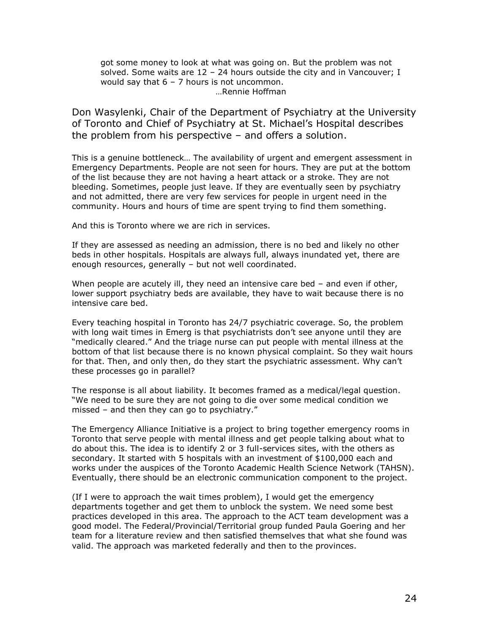got some money to look at what was going on. But the problem was not solved. Some waits are  $12 - 24$  hours outside the city and in Vancouver; I would say that  $6 - 7$  hours is not uncommon. …Rennie Hoffman

Don Wasylenki, Chair of the Department of Psychiatry at the University of Toronto and Chief of Psychiatry at St. Michael"s Hospital describes the problem from his perspective – and offers a solution.

This is a genuine bottleneck… The availability of urgent and emergent assessment in Emergency Departments. People are not seen for hours. They are put at the bottom of the list because they are not having a heart attack or a stroke. They are not bleeding. Sometimes, people just leave. If they are eventually seen by psychiatry and not admitted, there are very few services for people in urgent need in the community. Hours and hours of time are spent trying to find them something.

And this is Toronto where we are rich in services.

If they are assessed as needing an admission, there is no bed and likely no other beds in other hospitals. Hospitals are always full, always inundated yet, there are enough resources, generally – but not well coordinated.

When people are acutely ill, they need an intensive care bed – and even if other, lower support psychiatry beds are available, they have to wait because there is no intensive care bed.

Every teaching hospital in Toronto has 24/7 psychiatric coverage. So, the problem with long wait times in Emerg is that psychiatrists don't see anyone until they are "medically cleared." And the triage nurse can put people with mental illness at the bottom of that list because there is no known physical complaint. So they wait hours for that. Then, and only then, do they start the psychiatric assessment. Why can't these processes go in parallel?

The response is all about liability. It becomes framed as a medical/legal question. "We need to be sure they are not going to die over some medical condition we missed – and then they can go to psychiatry."

The Emergency Alliance Initiative is a project to bring together emergency rooms in Toronto that serve people with mental illness and get people talking about what to do about this. The idea is to identify 2 or 3 full-services sites, with the others as secondary. It started with 5 hospitals with an investment of \$100,000 each and works under the auspices of the Toronto Academic Health Science Network (TAHSN). Eventually, there should be an electronic communication component to the project.

(If I were to approach the wait times problem), I would get the emergency departments together and get them to unblock the system. We need some best practices developed in this area. The approach to the ACT team development was a good model. The Federal/Provincial/Territorial group funded Paula Goering and her team for a literature review and then satisfied themselves that what she found was valid. The approach was marketed federally and then to the provinces.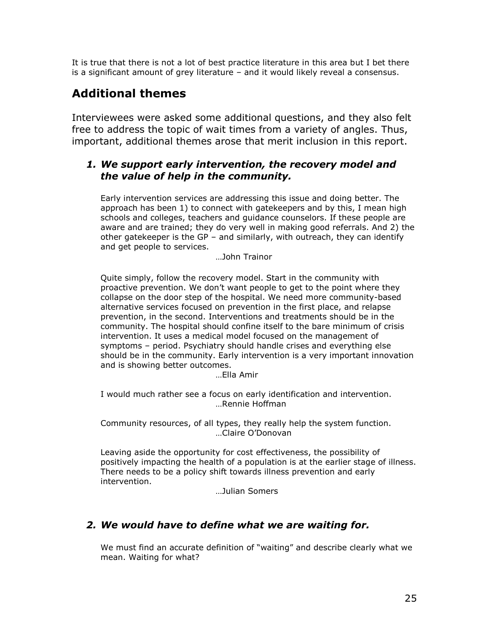It is true that there is not a lot of best practice literature in this area but I bet there is a significant amount of grey literature – and it would likely reveal a consensus.

# **Additional themes**

Interviewees were asked some additional questions, and they also felt free to address the topic of wait times from a variety of angles. Thus, important, additional themes arose that merit inclusion in this report.

## *1. We support early intervention, the recovery model and the value of help in the community.*

Early intervention services are addressing this issue and doing better. The approach has been 1) to connect with gatekeepers and by this, I mean high schools and colleges, teachers and guidance counselors. If these people are aware and are trained; they do very well in making good referrals. And 2) the other gatekeeper is the GP – and similarly, with outreach, they can identify and get people to services.

…John Trainor

Quite simply, follow the recovery model. Start in the community with proactive prevention. We don"t want people to get to the point where they collapse on the door step of the hospital. We need more community-based alternative services focused on prevention in the first place, and relapse prevention, in the second. Interventions and treatments should be in the community. The hospital should confine itself to the bare minimum of crisis intervention. It uses a medical model focused on the management of symptoms – period. Psychiatry should handle crises and everything else should be in the community. Early intervention is a very important innovation and is showing better outcomes.

…Ella Amir

I would much rather see a focus on early identification and intervention. …Rennie Hoffman

Community resources, of all types, they really help the system function. …Claire O"Donovan

Leaving aside the opportunity for cost effectiveness, the possibility of positively impacting the health of a population is at the earlier stage of illness. There needs to be a policy shift towards illness prevention and early intervention.

…Julian Somers

## *2. We would have to define what we are waiting for.*

We must find an accurate definition of "waiting" and describe clearly what we mean. Waiting for what?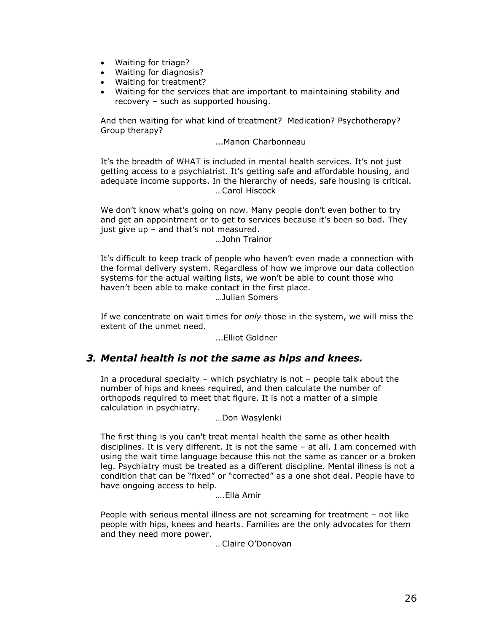- Waiting for triage?
- Waiting for diagnosis?
- Waiting for treatment?
- Waiting for the services that are important to maintaining stability and recovery – such as supported housing.

And then waiting for what kind of treatment? Medication? Psychotherapy? Group therapy?

#### …Manon Charbonneau

It's the breadth of WHAT is included in mental health services. It's not just getting access to a psychiatrist. It's getting safe and affordable housing, and adequate income supports. In the hierarchy of needs, safe housing is critical. …Carol Hiscock

We don't know what's going on now. Many people don't even bother to try and get an appointment or to get to services because it's been so bad. They just give up  $-$  and that's not measured.

…John Trainor

It's difficult to keep track of people who haven't even made a connection with the formal delivery system. Regardless of how we improve our data collection systems for the actual waiting lists, we won't be able to count those who haven't been able to make contact in the first place. …Julian Somers

If we concentrate on wait times for *only* those in the system, we will miss the extent of the unmet need.

…Elliot Goldner

### *3. Mental health is not the same as hips and knees.*

In a procedural specialty – which psychiatry is not – people talk about the number of hips and knees required, and then calculate the number of orthopods required to meet that figure. It is not a matter of a simple calculation in psychiatry.

…Don Wasylenki

The first thing is you can't treat mental health the same as other health disciplines. It is very different. It is not the same – at all. I am concerned with using the wait time language because this not the same as cancer or a broken leg. Psychiatry must be treated as a different discipline. Mental illness is not a condition that can be "fixed" or "corrected" as a one shot deal. People have to have ongoing access to help.

….Ella Amir

People with serious mental illness are not screaming for treatment – not like people with hips, knees and hearts. Families are the only advocates for them and they need more power.

…Claire O"Donovan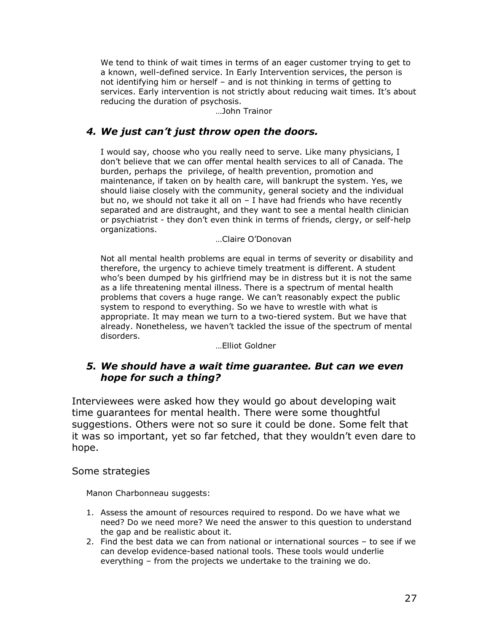We tend to think of wait times in terms of an eager customer trying to get to a known, well-defined service. In Early Intervention services, the person is not identifying him or herself – and is not thinking in terms of getting to services. Early intervention is not strictly about reducing wait times. It's about reducing the duration of psychosis.

…John Trainor

## *4. We just can't just throw open the doors.*

I would say, choose who you really need to serve. Like many physicians, I don"t believe that we can offer mental health services to all of Canada. The burden, perhaps the privilege, of health prevention, promotion and maintenance, if taken on by health care, will bankrupt the system. Yes, we should liaise closely with the community, general society and the individual but no, we should not take it all on – I have had friends who have recently separated and are distraught, and they want to see a mental health clinician or psychiatrist - they don't even think in terms of friends, clergy, or self-help organizations.

…Claire O"Donovan

Not all mental health problems are equal in terms of severity or disability and therefore, the urgency to achieve timely treatment is different. A student who's been dumped by his girlfriend may be in distress but it is not the same as a life threatening mental illness. There is a spectrum of mental health problems that covers a huge range. We can"t reasonably expect the public system to respond to everything. So we have to wrestle with what is appropriate. It may mean we turn to a two-tiered system. But we have that already. Nonetheless, we haven"t tackled the issue of the spectrum of mental disorders.

…Elliot Goldner

## *5. We should have a wait time guarantee. But can we even hope for such a thing?*

Interviewees were asked how they would go about developing wait time guarantees for mental health. There were some thoughtful suggestions. Others were not so sure it could be done. Some felt that it was so important, yet so far fetched, that they wouldn"t even dare to hope.

### Some strategies

Manon Charbonneau suggests:

- 1. Assess the amount of resources required to respond. Do we have what we need? Do we need more? We need the answer to this question to understand the gap and be realistic about it.
- 2. Find the best data we can from national or international sources to see if we can develop evidence-based national tools. These tools would underlie everything – from the projects we undertake to the training we do.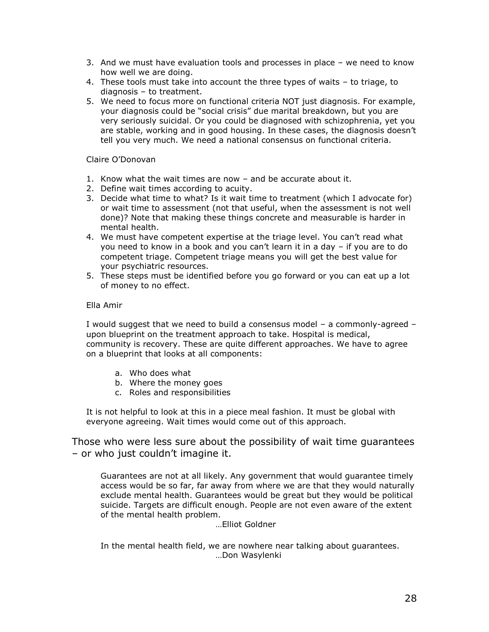- 3. And we must have evaluation tools and processes in place we need to know how well we are doing.
- 4. These tools must take into account the three types of waits to triage, to diagnosis – to treatment.
- 5. We need to focus more on functional criteria NOT just diagnosis. For example, your diagnosis could be "social crisis" due marital breakdown, but you are very seriously suicidal. Or you could be diagnosed with schizophrenia, yet you are stable, working and in good housing. In these cases, the diagnosis doesn"t tell you very much. We need a national consensus on functional criteria.

Claire O"Donovan

- 1. Know what the wait times are now and be accurate about it.
- 2. Define wait times according to acuity.
- 3. Decide what time to what? Is it wait time to treatment (which I advocate for) or wait time to assessment (not that useful, when the assessment is not well done)? Note that making these things concrete and measurable is harder in mental health.
- 4. We must have competent expertise at the triage level. You can"t read what you need to know in a book and you can"t learn it in a day – if you are to do competent triage. Competent triage means you will get the best value for your psychiatric resources.
- 5. These steps must be identified before you go forward or you can eat up a lot of money to no effect.

#### Ella Amir

I would suggest that we need to build a consensus model – a commonly-agreed – upon blueprint on the treatment approach to take. Hospital is medical, community is recovery. These are quite different approaches. We have to agree on a blueprint that looks at all components:

- a. Who does what
- b. Where the money goes
- c. Roles and responsibilities

It is not helpful to look at this in a piece meal fashion. It must be global with everyone agreeing. Wait times would come out of this approach.

Those who were less sure about the possibility of wait time guarantees – or who just couldn"t imagine it.

Guarantees are not at all likely. Any government that would guarantee timely access would be so far, far away from where we are that they would naturally exclude mental health. Guarantees would be great but they would be political suicide. Targets are difficult enough. People are not even aware of the extent of the mental health problem.

…Elliot Goldner

In the mental health field, we are nowhere near talking about guarantees. …Don Wasylenki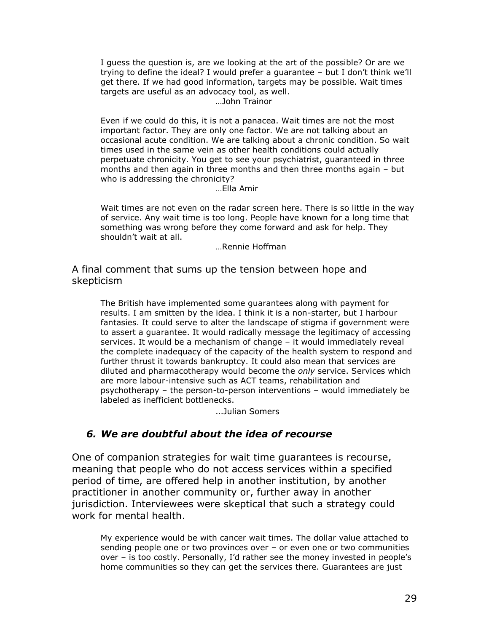I guess the question is, are we looking at the art of the possible? Or are we trying to define the ideal? I would prefer a guarantee – but I don"t think we"ll get there. If we had good information, targets may be possible. Wait times targets are useful as an advocacy tool, as well. …John Trainor

Even if we could do this, it is not a panacea. Wait times are not the most important factor. They are only one factor. We are not talking about an occasional acute condition. We are talking about a chronic condition. So wait times used in the same vein as other health conditions could actually perpetuate chronicity. You get to see your psychiatrist, guaranteed in three months and then again in three months and then three months again – but who is addressing the chronicity?

…Ella Amir

Wait times are not even on the radar screen here. There is so little in the way of service. Any wait time is too long. People have known for a long time that something was wrong before they come forward and ask for help. They shouldn"t wait at all.

…Rennie Hoffman

A final comment that sums up the tension between hope and skepticism

The British have implemented some guarantees along with payment for results. I am smitten by the idea. I think it is a non-starter, but I harbour fantasies. It could serve to alter the landscape of stigma if government were to assert a guarantee. It would radically message the legitimacy of accessing services. It would be a mechanism of change – it would immediately reveal the complete inadequacy of the capacity of the health system to respond and further thrust it towards bankruptcy. It could also mean that services are diluted and pharmacotherapy would become the *only* service. Services which are more labour-intensive such as ACT teams, rehabilitation and psychotherapy – the person-to-person interventions – would immediately be labeled as inefficient bottlenecks.

…Julian Somers

## *6. We are doubtful about the idea of recourse*

One of companion strategies for wait time guarantees is recourse, meaning that people who do not access services within a specified period of time, are offered help in another institution, by another practitioner in another community or, further away in another jurisdiction. Interviewees were skeptical that such a strategy could work for mental health.

My experience would be with cancer wait times. The dollar value attached to sending people one or two provinces over – or even one or two communities over - is too costly. Personally, I'd rather see the money invested in people's home communities so they can get the services there. Guarantees are just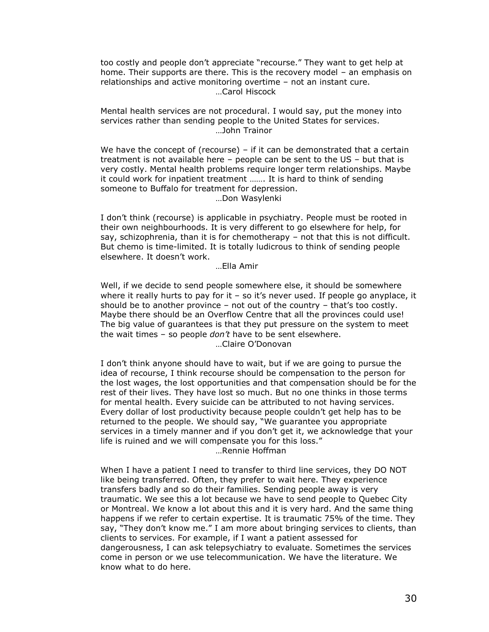too costly and people don"t appreciate "recourse." They want to get help at home. Their supports are there. This is the recovery model – an emphasis on relationships and active monitoring overtime – not an instant cure. …Carol Hiscock

Mental health services are not procedural. I would say, put the money into services rather than sending people to the United States for services. …John Trainor

We have the concept of (recourse) – if it can be demonstrated that a certain treatment is not available here – people can be sent to the US – but that is very costly. Mental health problems require longer term relationships. Maybe it could work for inpatient treatment ……. It is hard to think of sending someone to Buffalo for treatment for depression. …Don Wasylenki

I don"t think (recourse) is applicable in psychiatry. People must be rooted in their own neighbourhoods. It is very different to go elsewhere for help, for say, schizophrenia, than it is for chemotherapy – not that this is not difficult. But chemo is time-limited. It is totally ludicrous to think of sending people elsewhere. It doesn't work.

…Ella Amir

Well, if we decide to send people somewhere else, it should be somewhere where it really hurts to pay for it  $-$  so it's never used. If people go anyplace, it should be to another province  $-$  not out of the country  $-$  that's too costly. Maybe there should be an Overflow Centre that all the provinces could use! The big value of guarantees is that they put pressure on the system to meet the wait times – so people *don't* have to be sent elsewhere. …Claire O"Donovan

I don"t think anyone should have to wait, but if we are going to pursue the idea of recourse, I think recourse should be compensation to the person for the lost wages, the lost opportunities and that compensation should be for the rest of their lives. They have lost so much. But no one thinks in those terms for mental health. Every suicide can be attributed to not having services. Every dollar of lost productivity because people couldn"t get help has to be returned to the people. We should say, "We guarantee you appropriate services in a timely manner and if you don"t get it, we acknowledge that your life is ruined and we will compensate you for this loss." …Rennie Hoffman

When I have a patient I need to transfer to third line services, they DO NOT like being transferred. Often, they prefer to wait here. They experience transfers badly and so do their families. Sending people away is very traumatic. We see this a lot because we have to send people to Quebec City or Montreal. We know a lot about this and it is very hard. And the same thing happens if we refer to certain expertise. It is traumatic 75% of the time. They say, "They don't know me." I am more about bringing services to clients, than clients to services. For example, if I want a patient assessed for dangerousness, I can ask telepsychiatry to evaluate. Sometimes the services come in person or we use telecommunication. We have the literature. We know what to do here.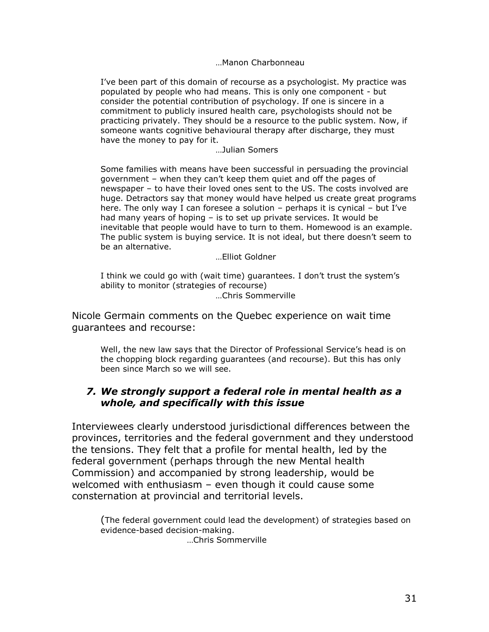…Manon Charbonneau

I"ve been part of this domain of recourse as a psychologist. My practice was populated by people who had means. This is only one component - but consider the potential contribution of psychology. If one is sincere in a commitment to publicly insured health care, psychologists should not be practicing privately. They should be a resource to the public system. Now, if someone wants cognitive behavioural therapy after discharge, they must have the money to pay for it.

…Julian Somers

Some families with means have been successful in persuading the provincial government – when they can"t keep them quiet and off the pages of newspaper – to have their loved ones sent to the US. The costs involved are huge. Detractors say that money would have helped us create great programs here. The only way I can foresee a solution – perhaps it is cynical – but I've had many years of hoping – is to set up private services. It would be inevitable that people would have to turn to them. Homewood is an example. The public system is buying service. It is not ideal, but there doesn't seem to be an alternative.

…Elliot Goldner

I think we could go with (wait time) guarantees. I don"t trust the system"s ability to monitor (strategies of recourse)

…Chris Sommerville

Nicole Germain comments on the Quebec experience on wait time guarantees and recourse:

Well, the new law says that the Director of Professional Service's head is on the chopping block regarding guarantees (and recourse). But this has only been since March so we will see.

## *7. We strongly support a federal role in mental health as a whole, and specifically with this issue*

Interviewees clearly understood jurisdictional differences between the provinces, territories and the federal government and they understood the tensions. They felt that a profile for mental health, led by the federal government (perhaps through the new Mental health Commission) and accompanied by strong leadership, would be welcomed with enthusiasm – even though it could cause some consternation at provincial and territorial levels.

(The federal government could lead the development) of strategies based on evidence-based decision-making. …Chris Sommerville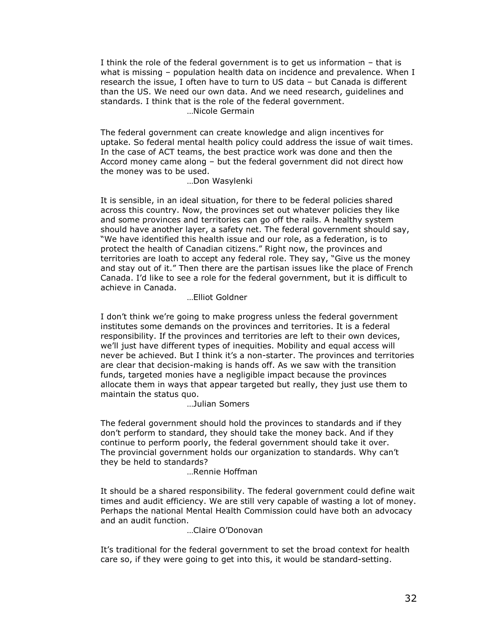I think the role of the federal government is to get us information – that is what is missing – population health data on incidence and prevalence. When I research the issue, I often have to turn to US data – but Canada is different than the US. We need our own data. And we need research, guidelines and standards. I think that is the role of the federal government. …Nicole Germain

The federal government can create knowledge and align incentives for uptake. So federal mental health policy could address the issue of wait times. In the case of ACT teams, the best practice work was done and then the Accord money came along – but the federal government did not direct how the money was to be used.

…Don Wasylenki

It is sensible, in an ideal situation, for there to be federal policies shared across this country. Now, the provinces set out whatever policies they like and some provinces and territories can go off the rails. A healthy system should have another layer, a safety net. The federal government should say, "We have identified this health issue and our role, as a federation, is to protect the health of Canadian citizens." Right now, the provinces and territories are loath to accept any federal role. They say, "Give us the money and stay out of it." Then there are the partisan issues like the place of French Canada. I"d like to see a role for the federal government, but it is difficult to achieve in Canada.

…Elliot Goldner

I don't think we're going to make progress unless the federal government institutes some demands on the provinces and territories. It is a federal responsibility. If the provinces and territories are left to their own devices, we"ll just have different types of inequities. Mobility and equal access will never be achieved. But I think it"s a non-starter. The provinces and territories are clear that decision-making is hands off. As we saw with the transition funds, targeted monies have a negligible impact because the provinces allocate them in ways that appear targeted but really, they just use them to maintain the status quo.

…Julian Somers

The federal government should hold the provinces to standards and if they don"t perform to standard, they should take the money back. And if they continue to perform poorly, the federal government should take it over. The provincial government holds our organization to standards. Why can"t they be held to standards?

…Rennie Hoffman

It should be a shared responsibility. The federal government could define wait times and audit efficiency. We are still very capable of wasting a lot of money. Perhaps the national Mental Health Commission could have both an advocacy and an audit function.

…Claire O"Donovan

It"s traditional for the federal government to set the broad context for health care so, if they were going to get into this, it would be standard-setting.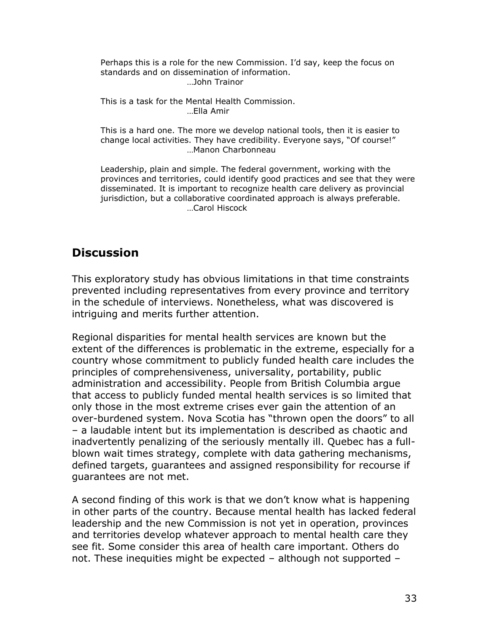Perhaps this is a role for the new Commission. I"d say, keep the focus on standards and on dissemination of information. …John Trainor

This is a task for the Mental Health Commission. …Ella Amir

This is a hard one. The more we develop national tools, then it is easier to change local activities. They have credibility. Everyone says, "Of course!" …Manon Charbonneau

Leadership, plain and simple. The federal government, working with the provinces and territories, could identify good practices and see that they were disseminated. It is important to recognize health care delivery as provincial jurisdiction, but a collaborative coordinated approach is always preferable. …Carol Hiscock

# **Discussion**

This exploratory study has obvious limitations in that time constraints prevented including representatives from every province and territory in the schedule of interviews. Nonetheless, what was discovered is intriguing and merits further attention.

Regional disparities for mental health services are known but the extent of the differences is problematic in the extreme, especially for a country whose commitment to publicly funded health care includes the principles of comprehensiveness, universality, portability, public administration and accessibility. People from British Columbia argue that access to publicly funded mental health services is so limited that only those in the most extreme crises ever gain the attention of an over-burdened system. Nova Scotia has "thrown open the doors" to all – a laudable intent but its implementation is described as chaotic and inadvertently penalizing of the seriously mentally ill. Quebec has a fullblown wait times strategy, complete with data gathering mechanisms, defined targets, guarantees and assigned responsibility for recourse if guarantees are not met.

A second finding of this work is that we don"t know what is happening in other parts of the country. Because mental health has lacked federal leadership and the new Commission is not yet in operation, provinces and territories develop whatever approach to mental health care they see fit. Some consider this area of health care important. Others do not. These inequities might be expected – although not supported –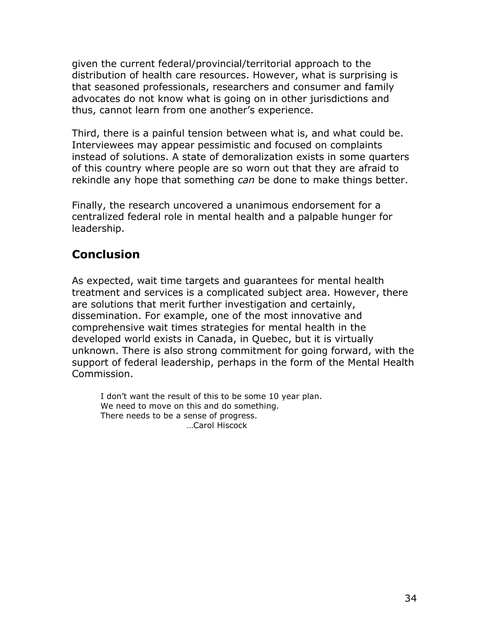given the current federal/provincial/territorial approach to the distribution of health care resources. However, what is surprising is that seasoned professionals, researchers and consumer and family advocates do not know what is going on in other jurisdictions and thus, cannot learn from one another"s experience.

Third, there is a painful tension between what is, and what could be. Interviewees may appear pessimistic and focused on complaints instead of solutions. A state of demoralization exists in some quarters of this country where people are so worn out that they are afraid to rekindle any hope that something *can* be done to make things better.

Finally, the research uncovered a unanimous endorsement for a centralized federal role in mental health and a palpable hunger for leadership.

# **Conclusion**

As expected, wait time targets and guarantees for mental health treatment and services is a complicated subject area. However, there are solutions that merit further investigation and certainly, dissemination. For example, one of the most innovative and comprehensive wait times strategies for mental health in the developed world exists in Canada, in Quebec, but it is virtually unknown. There is also strong commitment for going forward, with the support of federal leadership, perhaps in the form of the Mental Health Commission.

I don't want the result of this to be some 10 year plan. We need to move on this and do something. There needs to be a sense of progress. …Carol Hiscock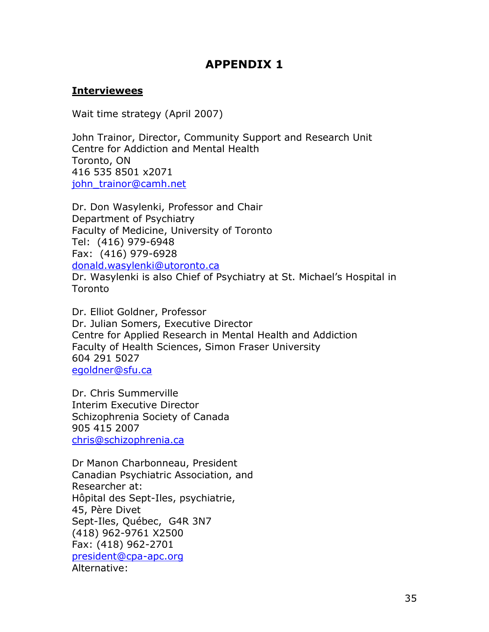# **APPENDIX 1**

## **Interviewees**

Wait time strategy (April 2007)

John Trainor, Director, Community Support and Research Unit Centre for Addiction and Mental Health Toronto, ON 416 535 8501 x2071 john trainor@camh.net

Dr. Don Wasylenki, Professor and Chair Department of Psychiatry Faculty of Medicine, University of Toronto Tel: (416) 979-6948 Fax: (416) 979-6928 [donald.wasylenki@utoronto.ca](mailto:donald.wasylenki@utoronto.ca) Dr. Wasylenki is also Chief of Psychiatry at St. Michael"s Hospital in

Toronto

Dr. Elliot Goldner, Professor Dr. Julian Somers, Executive Director Centre for Applied Research in Mental Health and Addiction Faculty of Health Sciences, Simon Fraser University 604 291 5027 [egoldner@sfu.ca](mailto:egoldner@sfu.ca)

Dr. Chris Summerville Interim Executive Director Schizophrenia Society of Canada 905 415 2007 [chris@schizophrenia.ca](mailto:chris@schizophrenia.ca)

Dr Manon Charbonneau, President Canadian Psychiatric Association, and Researcher at: Hôpital des Sept-Iles, psychiatrie, 45, Père Divet Sept-Iles, Québec, G4R 3N7 (418) 962-9761 X2500 Fax: (418) 962-2701 [president@cpa-apc.org](mailto:president@cpa-apc.org) Alternative: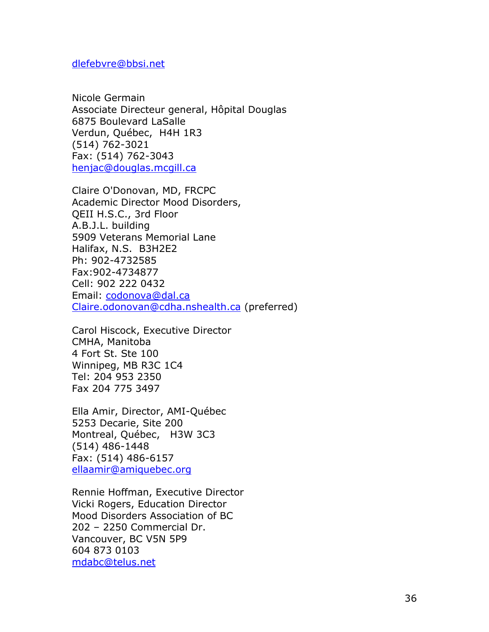#### [dlefebvre@bbsi.net](mailto:dlefebvre@bbsi.net)

Nicole Germain Associate Directeur general, Hôpital Douglas 6875 Boulevard LaSalle Verdun, Québec, H4H 1R3 (514) 762-3021 Fax: (514) 762-3043 [henjac@douglas.mcgill.ca](mailto:henjac@douglas.mcgill.ca)

Claire O'Donovan, MD, FRCPC Academic Director Mood Disorders, QEII H.S.C., 3rd Floor A.B.J.L. building 5909 Veterans Memorial Lane Halifax, N.S. B3H2E2 Ph: 902-4732585 Fax:902-4734877 Cell: 902 222 0432 Email: [codonova@dal.ca](mailto:codonova@dal.ca) [Claire.odonovan@cdha.nshealth.ca](mailto:Claire.odonovan@cdha.nshealth.ca) (preferred)

Carol Hiscock, Executive Director CMHA, Manitoba 4 Fort St. Ste 100 Winnipeg, MB R3C 1C4 Tel: 204 953 2350 Fax 204 775 3497

Ella Amir, Director, AMI-Québec 5253 Decarie, Site 200 Montreal, Québec, H3W 3C3 (514) 486-1448 Fax: (514) 486-6157 [ellaamir@amiquebec.org](mailto:ellaamir@amiquebec.org)

Rennie Hoffman, Executive Director Vicki Rogers, Education Director Mood Disorders Association of BC 202 – 2250 Commercial Dr. Vancouver, BC V5N 5P9 604 873 0103 [mdabc@telus.net](mailto:mdabca@telus.net)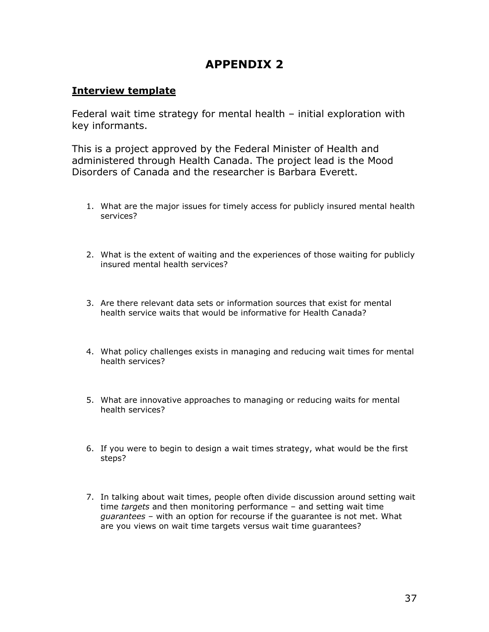# **APPENDIX 2**

## **Interview template**

Federal wait time strategy for mental health – initial exploration with key informants.

This is a project approved by the Federal Minister of Health and administered through Health Canada. The project lead is the Mood Disorders of Canada and the researcher is Barbara Everett.

- 1. What are the major issues for timely access for publicly insured mental health services?
- 2. What is the extent of waiting and the experiences of those waiting for publicly insured mental health services?
- 3. Are there relevant data sets or information sources that exist for mental health service waits that would be informative for Health Canada?
- 4. What policy challenges exists in managing and reducing wait times for mental health services?
- 5. What are innovative approaches to managing or reducing waits for mental health services?
- 6. If you were to begin to design a wait times strategy, what would be the first steps?
- 7. In talking about wait times, people often divide discussion around setting wait time *targets* and then monitoring performance – and setting wait time *guarantees* – with an option for recourse if the guarantee is not met. What are you views on wait time targets versus wait time guarantees?